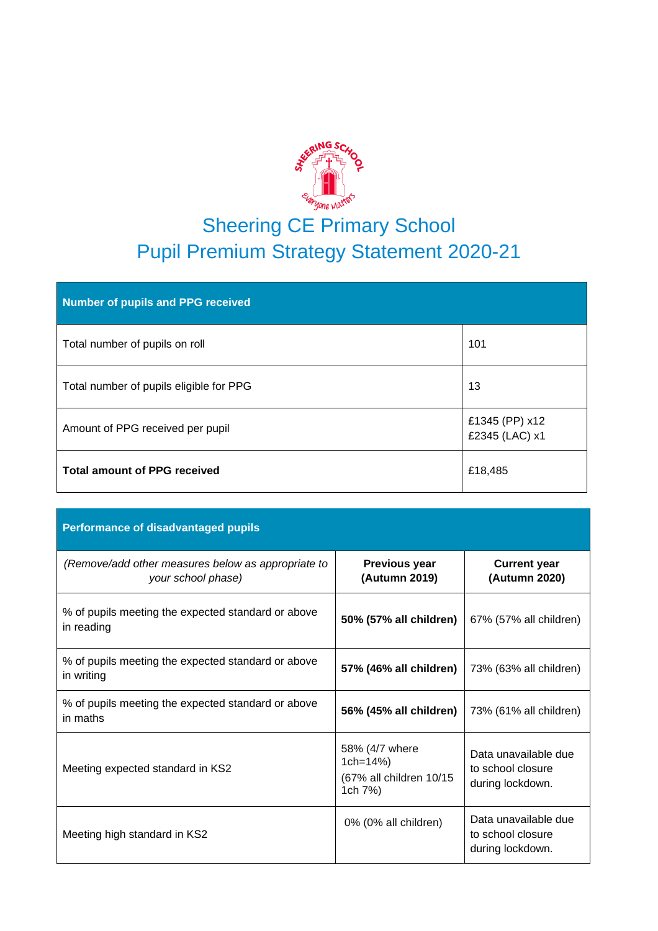

# Sheering CE Primary School Pupil Premium Strategy Statement 2020-21

| Number of pupils and PPG received       |                                  |
|-----------------------------------------|----------------------------------|
| Total number of pupils on roll          | 101                              |
| Total number of pupils eligible for PPG | 13                               |
| Amount of PPG received per pupil        | £1345 (PP) x12<br>£2345 (LAC) x1 |
| <b>Total amount of PPG received</b>     | £18,485                          |

| <b>Performance of disadvantaged pupils</b>                               |                                                                      |                                                               |
|--------------------------------------------------------------------------|----------------------------------------------------------------------|---------------------------------------------------------------|
| (Remove/add other measures below as appropriate to<br>your school phase) | <b>Previous year</b><br>(Autumn 2019)                                | <b>Current year</b><br>(Autumn 2020)                          |
| % of pupils meeting the expected standard or above<br>in reading         | 50% (57% all children)                                               | 67% (57% all children)                                        |
| % of pupils meeting the expected standard or above<br>in writing         | 57% (46% all children)                                               | 73% (63% all children)                                        |
| % of pupils meeting the expected standard or above<br>in maths           | 56% (45% all children)                                               | 73% (61% all children)                                        |
| Meeting expected standard in KS2                                         | 58% (4/7 where<br>1 $ch = 14%$<br>(67% all children 10/15<br>1ch 7%) | Data unavailable due<br>to school closure<br>during lockdown. |
| Meeting high standard in KS2                                             | 0% (0% all children)                                                 | Data unavailable due<br>to school closure<br>during lockdown. |